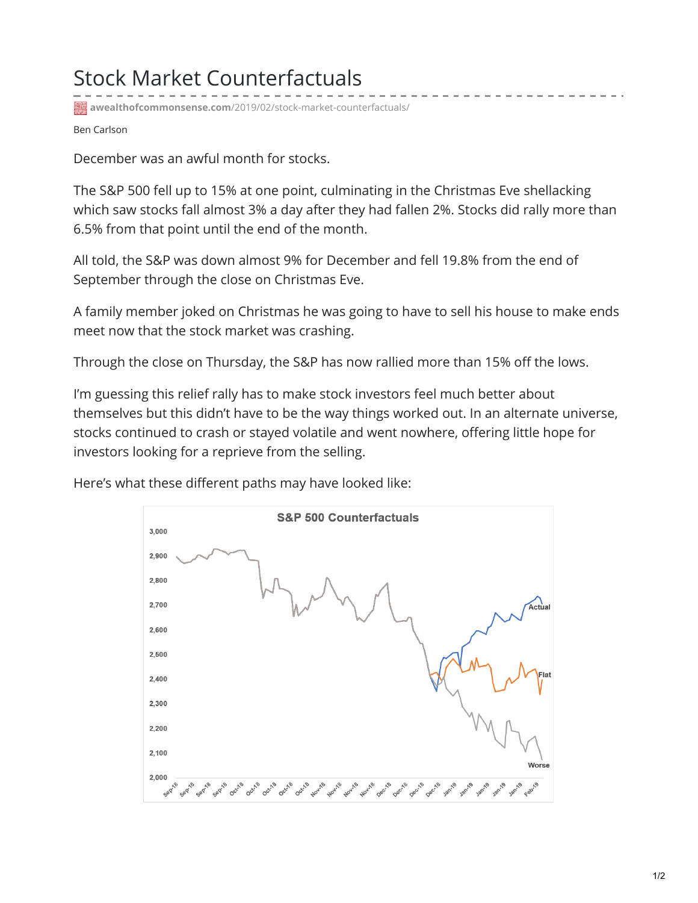## Stock Market Counterfactuals

**awealthofcommonsense.com**[/2019/02/stock-market-counterfactuals/](https://awealthofcommonsense.com/2019/02/stock-market-counterfactuals/)

Ben Carlson

December was an awful month for stocks.

The S&P 500 fell up to 15% at one point, culminating in the Christmas Eve shellacking which saw stocks fall almost 3% a day after they had fallen 2%. Stocks did rally more than 6.5% from that point until the end of the month.

All told, the S&P was down almost 9% for December and fell 19.8% from the end of September through the close on Christmas Eve.

A family member joked on Christmas he was going to have to sell his house to make ends meet now that the stock market was crashing.

Through the close on Thursday, the S&P has now rallied more than 15% off the lows.

I'm guessing this relief rally has to make stock investors feel much better about themselves but this didn't have to be the way things worked out. In an alternate universe, stocks continued to crash or stayed volatile and went nowhere, offering little hope for investors looking for a reprieve from the selling.



Here's what these different paths may have looked like: